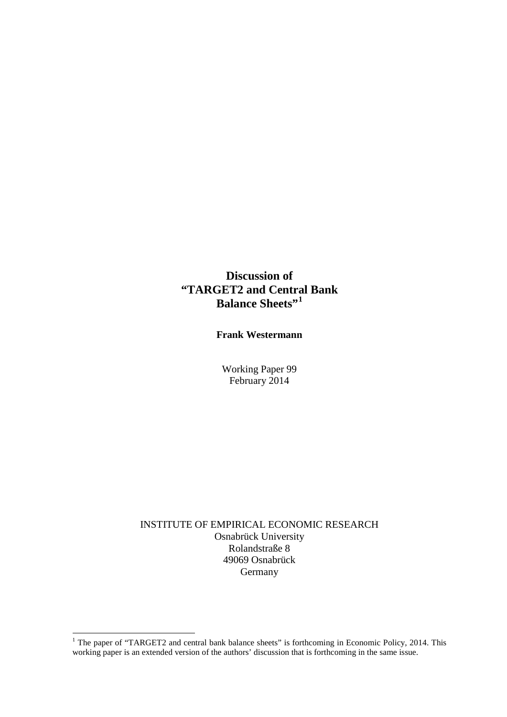# **Discussion of "TARGET2 and Central Bank Balance Sheets"[1](#page-0-0)**

**Frank Westermann** 

Working Paper 99 February 2014

INSTITUTE OF EMPIRICAL ECONOMIC RESEARCH Osnabrück University Rolandstraße 8 49069 Osnabrück Germany

 $\overline{a}$ 

<span id="page-0-0"></span> $1$  The paper of "TARGET2 and central bank balance sheets" is forthcoming in Economic Policy, 2014. This working paper is an extended version of the authors' discussion that is forthcoming in the same issue.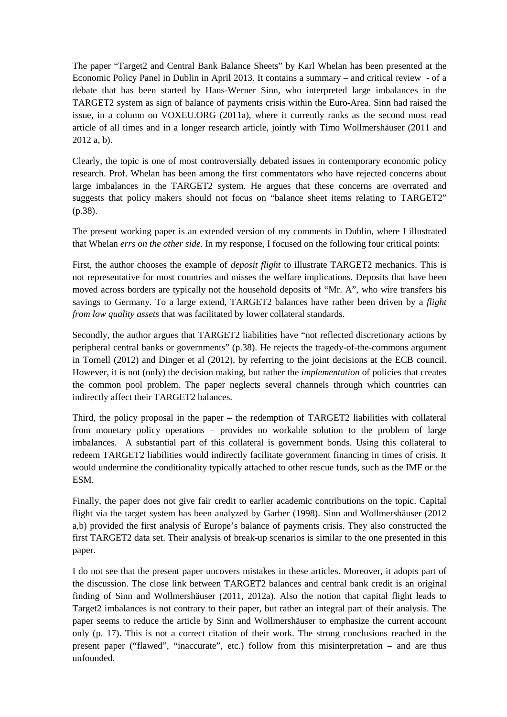The paper "Target2 and Central Bank Balance Sheets" by Karl Whelan has been presented at the Economic Policy Panel in Dublin in April 2013. It contains a summary – and critical review - of a debate that has been started by Hans-Werner Sinn, who interpreted large imbalances in the TARGET2 system as sign of balance of payments crisis within the Euro-Area. Sinn had raised the issue, in a column on VOXEU.ORG (2011a), where it currently ranks as the second most read article of all times and in a longer research article, jointly with Timo Wollmershäuser (2011 and 2012 a, b).

Clearly, the topic is one of most controversially debated issues in contemporary economic policy research. Prof. Whelan has been among the first commentators who have rejected concerns about large imbalances in the TARGET2 system. He argues that these concerns are overrated and suggests that policy makers should not focus on "balance sheet items relating to TARGET2" (p.38).

The present working paper is an extended version of my comments in Dublin, where I illustrated that Whelan *errs on the other side*. In my response, I focused on the following four critical points:

First, the author chooses the example of *deposit flight* to illustrate TARGET2 mechanics. This is not representative for most countries and misses the welfare implications. Deposits that have been moved across borders are typically not the household deposits of "Mr. A", who wire transfers his savings to Germany. To a large extend, TARGET2 balances have rather been driven by a *flight from low quality assets* that was facilitated by lower collateral standards.

Secondly, the author argues that TARGET2 liabilities have "not reflected discretionary actions by peripheral central banks or governments" (p.38). He rejects the tragedy-of-the-commons argument in Tornell (2012) and Dinger et al (2012), by referring to the joint decisions at the ECB council. However, it is not (only) the decision making, but rather the *implementation* of policies that creates the common pool problem. The paper neglects several channels through which countries can indirectly affect their TARGET2 balances.

Third, the policy proposal in the paper – the redemption of TARGET2 liabilities with collateral from monetary policy operations – provides no workable solution to the problem of large imbalances. A substantial part of this collateral is government bonds. Using this collateral to redeem TARGET2 liabilities would indirectly facilitate government financing in times of crisis. It would undermine the conditionality typically attached to other rescue funds, such as the IMF or the ESM.

Finally, the paper does not give fair credit to earlier academic contributions on the topic. Capital flight via the target system has been analyzed by Garber (1998). Sinn and Wollmershäuser (2012 a,b) provided the first analysis of Europe's balance of payments crisis. They also constructed the first TARGET2 data set. Their analysis of break-up scenarios is similar to the one presented in this paper.

I do not see that the present paper uncovers mistakes in these articles. Moreover, it adopts part of the discussion. The close link between TARGET2 balances and central bank credit is an original finding of Sinn and Wollmershäuser (2011, 2012a). Also the notion that capital flight leads to Target2 imbalances is not contrary to their paper, but rather an integral part of their analysis. The paper seems to reduce the article by Sinn and Wollmershäuser to emphasize the current account only (p. 17). This is not a correct citation of their work. The strong conclusions reached in the present paper ("flawed", "inaccurate", etc.) follow from this misinterpretation – and are thus unfounded.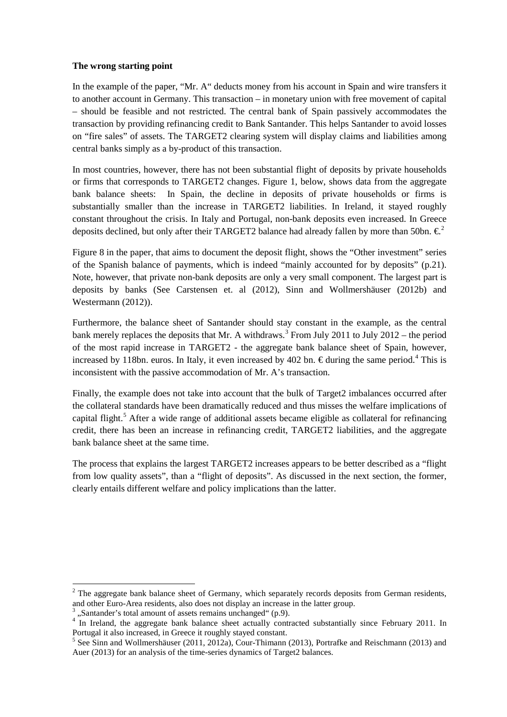### **The wrong starting point**

In the example of the paper, "Mr. A" deducts money from his account in Spain and wire transfers it to another account in Germany. This transaction – in monetary union with free movement of capital – should be feasible and not restricted. The central bank of Spain passively accommodates the transaction by providing refinancing credit to Bank Santander. This helps Santander to avoid losses on "fire sales" of assets. The TARGET2 clearing system will display claims and liabilities among central banks simply as a by-product of this transaction.

In most countries, however, there has not been substantial flight of deposits by private households or firms that corresponds to TARGET2 changes. Figure 1, below, shows data from the aggregate bank balance sheets: In Spain, the decline in deposits of private households or firms is substantially smaller than the increase in TARGET2 liabilities. In Ireland, it stayed roughly constant throughout the crisis. In Italy and Portugal, non-bank deposits even increased. In Greece deposits declined, but only after their TARGET[2](#page-2-0) balance had already fallen by more than 50bn.  $\epsilon^2$ 

Figure 8 in the paper, that aims to document the deposit flight, shows the "Other investment" series of the Spanish balance of payments, which is indeed "mainly accounted for by deposits" (p.21). Note, however, that private non-bank deposits are only a very small component. The largest part is deposits by banks (See Carstensen et. al (2012), Sinn and Wollmershäuser (2012b) and Westermann (2012)).

Furthermore, the balance sheet of Santander should stay constant in the example, as the central bank merely replaces the deposits that Mr. A withdraws.<sup>[3](#page-2-1)</sup> From July 2011 to July 2012 – the period of the most rapid increase in TARGET2 - the aggregate bank balance sheet of Spain, however, increased by 118bn. euros. In Italy, it even increased by [4](#page-2-2)02 bn. € during the same period.<sup>4</sup> This is inconsistent with the passive accommodation of Mr. A's transaction.

Finally, the example does not take into account that the bulk of Target2 imbalances occurred after the collateral standards have been dramatically reduced and thus misses the welfare implications of capital flight.<sup>[5](#page-2-3)</sup> After a wide range of additional assets became eligible as collateral for refinancing credit, there has been an increase in refinancing credit, TARGET2 liabilities, and the aggregate bank balance sheet at the same time.

The process that explains the largest TARGET2 increases appears to be better described as a "flight from low quality assets", than a "flight of deposits". As discussed in the next section, the former, clearly entails different welfare and policy implications than the latter.

 $\overline{a}$ 

<span id="page-2-0"></span> $2$  The aggregate bank balance sheet of Germany, which separately records deposits from German residents, and other Euro-Area residents, also does not display an increase in the latter group.

<span id="page-2-2"></span><span id="page-2-1"></span><sup>&</sup>lt;sup>3</sup>, Santander's total amount of assets remains unchanged" (p.9).<br><sup>4</sup> In Ireland, the aggregate bank balance sheet actually contracted substantially since February 2011. In Portugal it also increased, in Greece it roughly stayed constant.

<span id="page-2-3"></span><sup>&</sup>lt;sup>5</sup> See Sinn and Wollmershäuser (2011, 2012a), Cour-Thimann (2013), Portrafke and Reischmann (2013) and Auer (2013) for an analysis of the time-series dynamics of Target2 balances.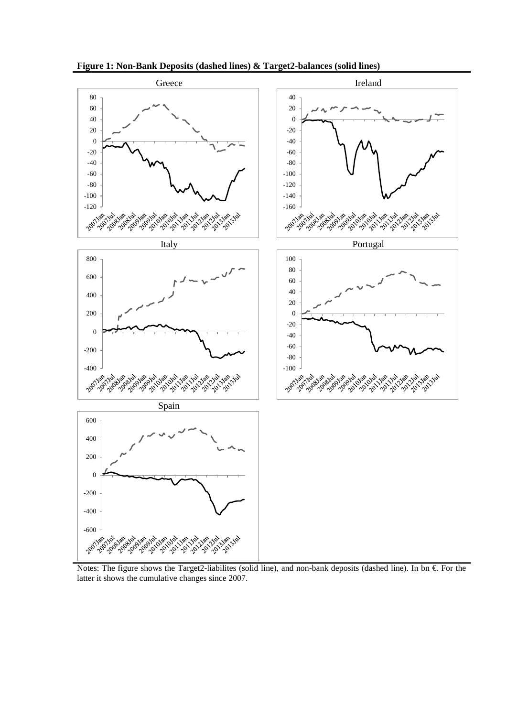

**Figure 1: Non-Bank Deposits (dashed lines) & Target2-balances (solid lines)**

Notes: The figure shows the Target2-liabilites (solid line), and non-bank deposits (dashed line). In bn  $\epsilon$  For the latter it shows the cumulative changes since 2007.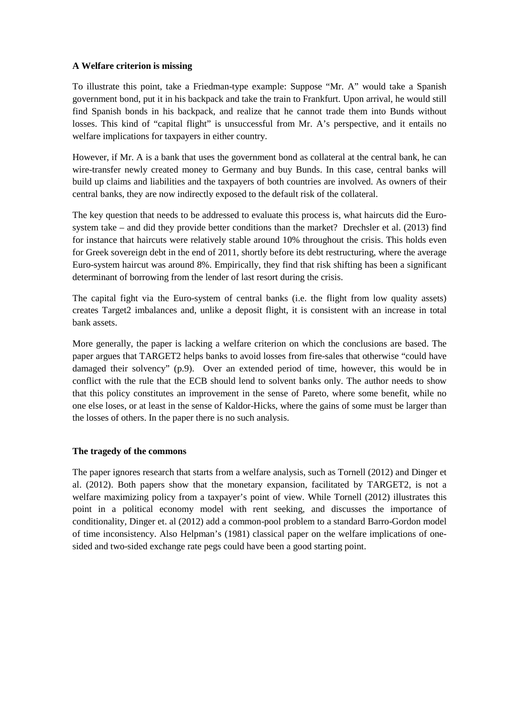# **A Welfare criterion is missing**

To illustrate this point, take a Friedman-type example: Suppose "Mr. A" would take a Spanish government bond, put it in his backpack and take the train to Frankfurt. Upon arrival, he would still find Spanish bonds in his backpack, and realize that he cannot trade them into Bunds without losses. This kind of "capital flight" is unsuccessful from Mr. A's perspective, and it entails no welfare implications for taxpayers in either country.

However, if Mr. A is a bank that uses the government bond as collateral at the central bank, he can wire-transfer newly created money to Germany and buy Bunds. In this case, central banks will build up claims and liabilities and the taxpayers of both countries are involved. As owners of their central banks, they are now indirectly exposed to the default risk of the collateral.

The key question that needs to be addressed to evaluate this process is, what haircuts did the Eurosystem take – and did they provide better conditions than the market? Drechsler et al. (2013) find for instance that haircuts were relatively stable around 10% throughout the crisis. This holds even for Greek sovereign debt in the end of 2011, shortly before its debt restructuring, where the average Euro-system haircut was around 8%. Empirically, they find that risk shifting has been a significant determinant of borrowing from the lender of last resort during the crisis.

The capital fight via the Euro-system of central banks (i.e. the flight from low quality assets) creates Target2 imbalances and, unlike a deposit flight, it is consistent with an increase in total bank assets.

More generally, the paper is lacking a welfare criterion on which the conclusions are based. The paper argues that TARGET2 helps banks to avoid losses from fire-sales that otherwise "could have damaged their solvency" (p.9). Over an extended period of time, however, this would be in conflict with the rule that the ECB should lend to solvent banks only. The author needs to show that this policy constitutes an improvement in the sense of Pareto, where some benefit, while no one else loses, or at least in the sense of Kaldor-Hicks, where the gains of some must be larger than the losses of others. In the paper there is no such analysis.

### **The tragedy of the commons**

The paper ignores research that starts from a welfare analysis, such as Tornell (2012) and Dinger et al. (2012). Both papers show that the monetary expansion, facilitated by TARGET2, is not a welfare maximizing policy from a taxpayer's point of view. While Tornell (2012) illustrates this point in a political economy model with rent seeking, and discusses the importance of conditionality, Dinger et. al (2012) add a common-pool problem to a standard Barro-Gordon model of time inconsistency. Also Helpman's (1981) classical paper on the welfare implications of onesided and two-sided exchange rate pegs could have been a good starting point.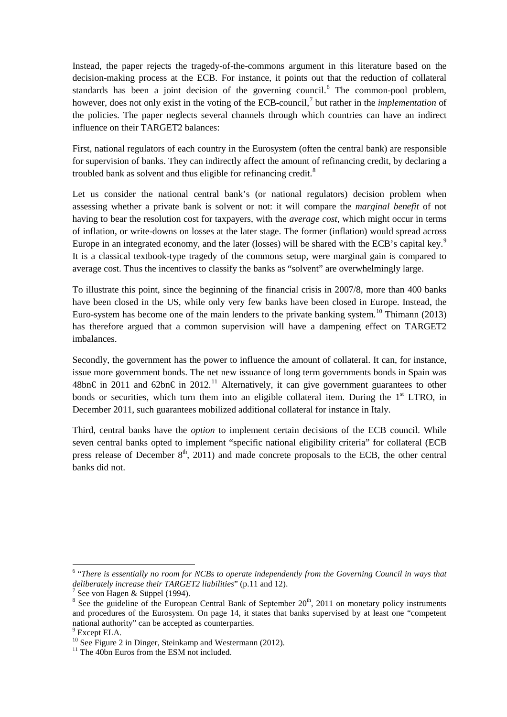Instead, the paper rejects the tragedy-of-the-commons argument in this literature based on the decision-making process at the ECB. For instance, it points out that the reduction of collateral standards has been a joint decision of the governing council. [6](#page-5-0) The common-pool problem, however, does not only exist in the voting of the ECB-council, [7](#page-5-1) but rather in the *implementation* of the policies. The paper neglects several channels through which countries can have an indirect influence on their TARGET2 balances:

First, national regulators of each country in the Eurosystem (often the central bank) are responsible for supervision of banks. They can indirectly affect the amount of refinancing credit, by declaring a troubled bank as solvent and thus eligible for refinancing credit.<sup>[8](#page-5-2)</sup>

Let us consider the national central bank's (or national regulators) decision problem when assessing whether a private bank is solvent or not: it will compare the *marginal benefit* of not having to bear the resolution cost for taxpayers, with the *average cost*, which might occur in terms of inflation, or write-downs on losses at the later stage. The former (inflation) would spread across Europe in an integrated economy, and the later (losses) will be shared with the ECB's capital key.<sup>[9](#page-5-3)</sup> It is a classical textbook-type tragedy of the commons setup, were marginal gain is compared to average cost. Thus the incentives to classify the banks as "solvent" are overwhelmingly large.

To illustrate this point, since the beginning of the financial crisis in 2007/8, more than 400 banks have been closed in the US, while only very few banks have been closed in Europe. Instead, the Euro-system has become one of the main lenders to the private banking system.<sup>[10](#page-5-4)</sup> Thimann (2013) has therefore argued that a common supervision will have a dampening effect on TARGET2 imbalances.

Secondly, the government has the power to influence the amount of collateral. It can, for instance, issue more government bonds. The net new issuance of long term governments bonds in Spain was 48bn€ in 20[11](#page-5-5) and 62bn€ in 2012.<sup>11</sup> Alternatively, it can give government guarantees to other bonds or securities, which turn them into an eligible collateral item. During the  $1<sup>st</sup> LTRO$ , in December 2011, such guarantees mobilized additional collateral for instance in Italy.

Third, central banks have the *option* to implement certain decisions of the ECB council. While seven central banks opted to implement "specific national eligibility criteria" for collateral (ECB press release of December  $8<sup>th</sup>$ , 2011) and made concrete proposals to the ECB, the other central banks did not.

**.** 

<span id="page-5-0"></span><sup>6</sup> "*There is essentially no room for NCBs to operate independently from the Governing Council in ways that deliberately increase their TARGET2 liabilities*" (p.11 and 12).<br><sup>7</sup> See von Hagen & Süppel (1994).<br><sup>8</sup> See the guideline of the European Central Bank of September 20<sup>th</sup>, 2011 on monetary policy instruments

<span id="page-5-1"></span>

<span id="page-5-2"></span>and procedures of the Eurosystem. On page 14, it states that banks supervised by at least one "competent national authority" can be accepted as counterparties.

<span id="page-5-3"></span> $9$  Except ELA.

<span id="page-5-4"></span><sup>&</sup>lt;sup>10</sup> See Figure 2 in Dinger, Steinkamp and Westermann (2012).<br><sup>11</sup> The 40bn Euros from the ESM not included.

<span id="page-5-5"></span>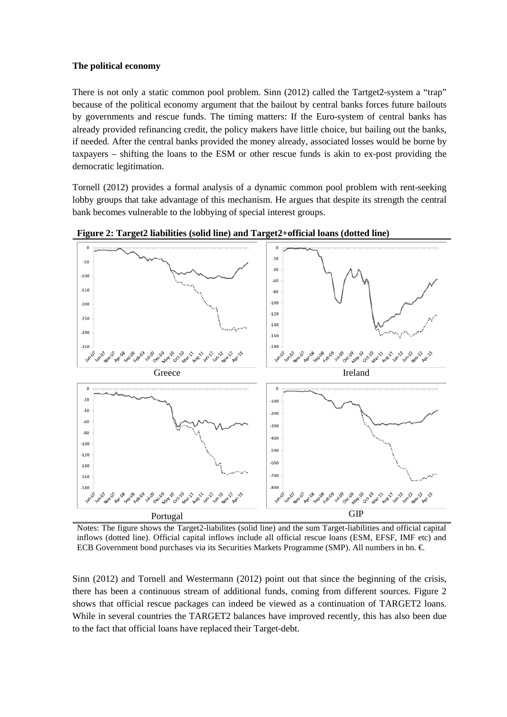### **The political economy**

There is not only a static common pool problem. Sinn (2012) called the Tartget2-system a "trap" because of the political economy argument that the bailout by central banks forces future bailouts by governments and rescue funds. The timing matters: If the Euro-system of central banks has already provided refinancing credit, the policy makers have little choice, but bailing out the banks, if needed. After the central banks provided the money already, associated losses would be borne by taxpayers – shifting the loans to the ESM or other rescue funds is akin to ex-post providing the democratic legitimation.

Tornell (2012) provides a formal analysis of a dynamic common pool problem with rent-seeking lobby groups that take advantage of this mechanism. He argues that despite its strength the central bank becomes vulnerable to the lobbying of special interest groups.



**Figure 2: Target2 liabilities (solid line) and Target2+official loans (dotted line)**

Notes: The figure shows the Target2-liabilites (solid line) and the sum Target-liabilities and official capital inflows (dotted line). Official capital inflows include all official rescue loans (ESM, EFSF, IMF etc) and ECB Government bond purchases via its Securities Markets Programme (SMP). All numbers in bn.  $\in$ 

Sinn (2012) and Tornell and Westermann (2012) point out that since the beginning of the crisis, there has been a continuous stream of additional funds, coming from different sources. Figure 2 shows that official rescue packages can indeed be viewed as a continuation of TARGET2 loans. While in several countries the TARGET2 balances have improved recently, this has also been due to the fact that official loans have replaced their Target-debt.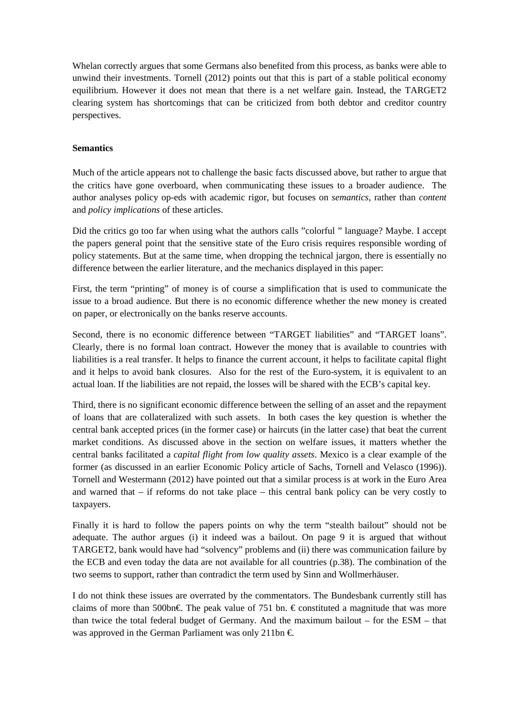Whelan correctly argues that some Germans also benefited from this process, as banks were able to unwind their investments. Tornell (2012) points out that this is part of a stable political economy equilibrium. However it does not mean that there is a net welfare gain. Instead, the TARGET2 clearing system has shortcomings that can be criticized from both debtor and creditor country perspectives.

# **Semantics**

Much of the article appears not to challenge the basic facts discussed above, but rather to argue that the critics have gone overboard, when communicating these issues to a broader audience. The author analyses policy op-eds with academic rigor, but focuses on *semantics*, rather than *content* and *policy implications* of these articles.

Did the critics go too far when using what the authors calls "colorful " language? Maybe. I accept the papers general point that the sensitive state of the Euro crisis requires responsible wording of policy statements. But at the same time, when dropping the technical jargon, there is essentially no difference between the earlier literature, and the mechanics displayed in this paper:

First, the term "printing" of money is of course a simplification that is used to communicate the issue to a broad audience. But there is no economic difference whether the new money is created on paper, or electronically on the banks reserve accounts.

Second, there is no economic difference between "TARGET liabilities" and "TARGET loans". Clearly, there is no formal loan contract. However the money that is available to countries with liabilities is a real transfer. It helps to finance the current account, it helps to facilitate capital flight and it helps to avoid bank closures. Also for the rest of the Euro-system, it is equivalent to an actual loan. If the liabilities are not repaid, the losses will be shared with the ECB's capital key.

Third, there is no significant economic difference between the selling of an asset and the repayment of loans that are collateralized with such assets. In both cases the key question is whether the central bank accepted prices (in the former case) or haircuts (in the latter case) that beat the current market conditions. As discussed above in the section on welfare issues, it matters whether the central banks facilitated a *capital flight from low quality assets*. Mexico is a clear example of the former (as discussed in an earlier Economic Policy article of Sachs, Tornell and Velasco (1996)). Tornell and Westermann (2012) have pointed out that a similar process is at work in the Euro Area and warned that – if reforms do not take place – this central bank policy can be very costly to taxpayers.

Finally it is hard to follow the papers points on why the term "stealth bailout" should not be adequate. The author argues (i) it indeed was a bailout. On page 9 it is argued that without TARGET2, bank would have had "solvency" problems and (ii) there was communication failure by the ECB and even today the data are not available for all countries (p.38). The combination of the two seems to support, rather than contradict the term used by Sinn and Wollmerhäuser.

I do not think these issues are overrated by the commentators. The Bundesbank currently still has claims of more than 500bn€. The peak value of 751 bn.  $\epsilon$  constituted a magnitude that was more than twice the total federal budget of Germany. And the maximum bailout – for the ESM – that was approved in the German Parliament was only 211bn  $\in$ .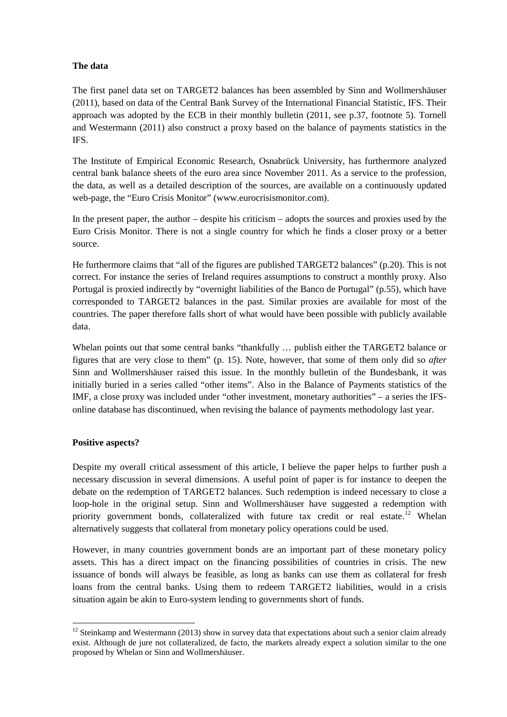# **The data**

The first panel data set on TARGET2 balances has been assembled by Sinn and Wollmershäuser (2011), based on data of the Central Bank Survey of the International Financial Statistic, IFS. Their approach was adopted by the ECB in their monthly bulletin (2011, see p.37, footnote 5). Tornell and Westermann (2011) also construct a proxy based on the balance of payments statistics in the IFS.

The Institute of Empirical Economic Research, Osnabrück University, has furthermore analyzed central bank balance sheets of the euro area since November 2011. As a service to the profession, the data, as well as a detailed description of the sources, are available on a continuously updated web-page, the "Euro Crisis Monitor" (www.eurocrisismonitor.com).

In the present paper, the author – despite his criticism – adopts the sources and proxies used by the Euro Crisis Monitor. There is not a single country for which he finds a closer proxy or a better source.

He furthermore claims that "all of the figures are published TARGET2 balances" (p.20). This is not correct. For instance the series of Ireland requires assumptions to construct a monthly proxy. Also Portugal is proxied indirectly by "overnight liabilities of the Banco de Portugal" (p.55), which have corresponded to TARGET2 balances in the past. Similar proxies are available for most of the countries. The paper therefore falls short of what would have been possible with publicly available data.

Whelan points out that some central banks "thankfully ... publish either the TARGET2 balance or figures that are very close to them" (p. 15). Note, however, that some of them only did so *after* Sinn and Wollmershäuser raised this issue. In the monthly bulletin of the Bundesbank, it was initially buried in a series called "other items". Also in the Balance of Payments statistics of the IMF, a close proxy was included under "other investment, monetary authorities" – a series the IFSonline database has discontinued, when revising the balance of payments methodology last year.

### **Positive aspects?**

**.** 

Despite my overall critical assessment of this article, I believe the paper helps to further push a necessary discussion in several dimensions. A useful point of paper is for instance to deepen the debate on the redemption of TARGET2 balances. Such redemption is indeed necessary to close a loop-hole in the original setup. Sinn and Wollmershäuser have suggested a redemption with priority government bonds, collateralized with future tax credit or real estate.<sup>[12](#page-8-0)</sup> Whelan alternatively suggests that collateral from monetary policy operations could be used.

However, in many countries government bonds are an important part of these monetary policy assets. This has a direct impact on the financing possibilities of countries in crisis. The new issuance of bonds will always be feasible, as long as banks can use them as collateral for fresh loans from the central banks. Using them to redeem TARGET2 liabilities, would in a crisis situation again be akin to Euro-system lending to governments short of funds.

<span id="page-8-0"></span> $12$  Steinkamp and Westermann (2013) show in survey data that expectations about such a senior claim already exist. Although de jure not collateralized, de facto, the markets already expect a solution similar to the one proposed by Whelan or Sinn and Wollmershäuser.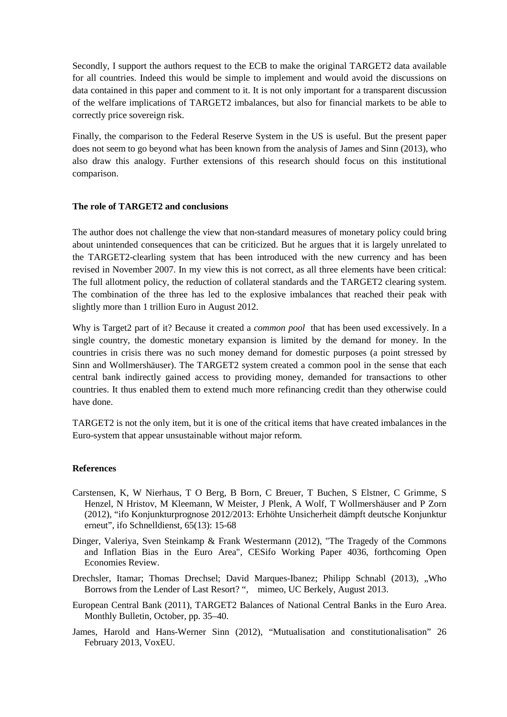Secondly, I support the authors request to the ECB to make the original TARGET2 data available for all countries. Indeed this would be simple to implement and would avoid the discussions on data contained in this paper and comment to it. It is not only important for a transparent discussion of the welfare implications of TARGET2 imbalances, but also for financial markets to be able to correctly price sovereign risk.

Finally, the comparison to the Federal Reserve System in the US is useful. But the present paper does not seem to go beyond what has been known from the analysis of James and Sinn (2013), who also draw this analogy. Further extensions of this research should focus on this institutional comparison.

# **The role of TARGET2 and conclusions**

The author does not challenge the view that non-standard measures of monetary policy could bring about unintended consequences that can be criticized. But he argues that it is largely unrelated to the TARGET2-clearling system that has been introduced with the new currency and has been revised in November 2007. In my view this is not correct, as all three elements have been critical: The full allotment policy, the reduction of collateral standards and the TARGET2 clearing system. The combination of the three has led to the explosive imbalances that reached their peak with slightly more than 1 trillion Euro in August 2012.

Why is Target2 part of it? Because it created a *common pool* that has been used excessively. In a single country, the domestic monetary expansion is limited by the demand for money. In the countries in crisis there was no such money demand for domestic purposes (a point stressed by Sinn and Wollmershäuser). The TARGET2 system created a common pool in the sense that each central bank indirectly gained access to providing money, demanded for transactions to other countries. It thus enabled them to extend much more refinancing credit than they otherwise could have done.

TARGET2 is not the only item, but it is one of the critical items that have created imbalances in the Euro-system that appear unsustainable without major reform.

### **References**

- Carstensen, K, W Nierhaus, T O Berg, B Born, C Breuer, T Buchen, S Elstner, C Grimme, S Henzel, N Hristov, M Kleemann, W Meister, J Plenk, A Wolf, T Wollmershäuser and P Zorn (2012), "ifo Konjunkturprognose 2012/2013: Erhöhte Unsicherheit dämpft deutsche Konjunktur erneut", ifo Schnelldienst, 65(13): 15-68
- Dinger, Valeriya, Sven Steinkamp & Frank Westermann (2012), ["The Tragedy of the Commons](http://www.eurocrisismonitor.com/Downloads/The%20tragedy%20of%20the%20commons%20and%20inflation%20bias%20in%20the%20Eurozone.pdf)  [and Inflation Bias in the Euro Area"](http://www.eurocrisismonitor.com/Downloads/The%20tragedy%20of%20the%20commons%20and%20inflation%20bias%20in%20the%20Eurozone.pdf), CESifo Working Paper 4036, forthcoming Open Economies Review.
- Drechsler, Itamar; Thomas Drechsel; David Marques-Ibanez; Philipp Schnabl (2013), "Who Borrows from the Lender of Last Resort? ", mimeo, UC Berkely, August 2013.
- European Central Bank (2011), TARGET2 Balances of National Central Banks in the Euro Area. Monthly Bulletin, October, pp. 35–40.
- James, Harold and Hans-Werner Sinn (2012), "Mutualisation and constitutionalisation" 26 February 2013, VoxEU.